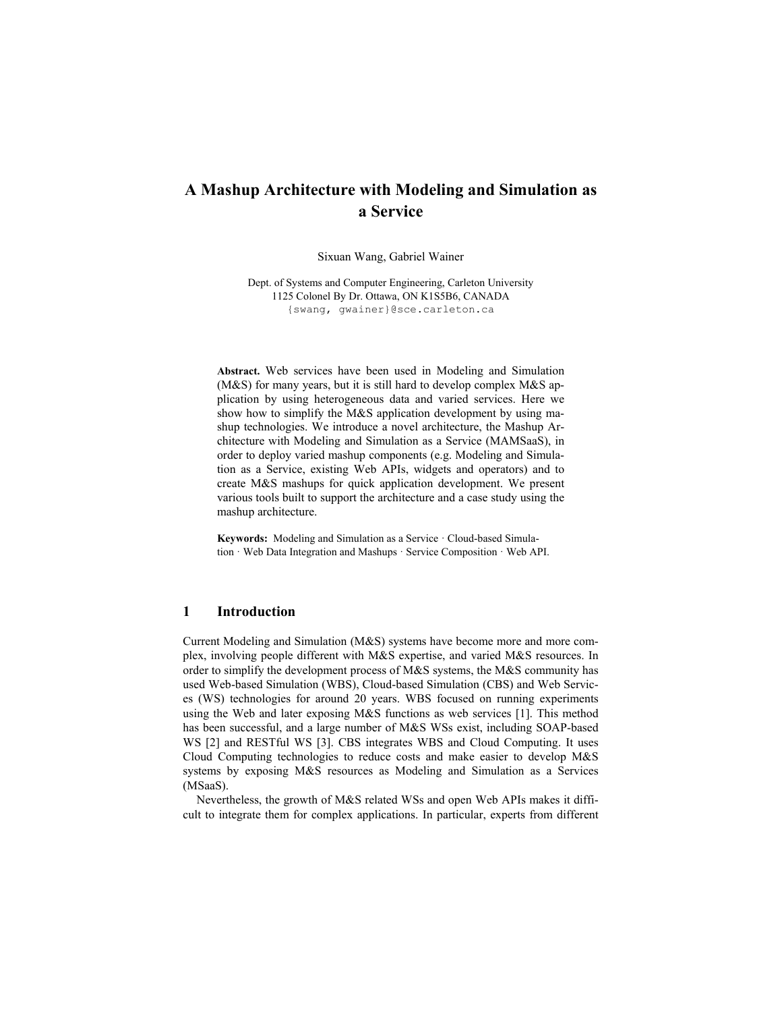# A Mashup Architecture with Modeling and Simulation as a Service

Sixuan Wang, Gabriel Wainer

Dept. of Systems and Computer Engineering, Carleton University 1125 Colonel By Dr. Ottawa, ON K1S5B6, CANADA {swang, gwainer}@sce.carleton.ca

Abstract. Web services have been used in Modeling and Simulation (M&S) for many years, but it is still hard to develop complex M&S application by using heterogeneous data and varied services. Here we show how to simplify the M&S application development by using mashup technologies. We introduce a novel architecture, the Mashup Architecture with Modeling and Simulation as a Service (MAMSaaS), in order to deploy varied mashup components (e.g. Modeling and Simulation as a Service, existing Web APIs, widgets and operators) and to create M&S mashups for quick application development. We present various tools built to support the architecture and a case study using the mashup architecture.

Keywords: Modeling and Simulation as a Service · Cloud-based Simulation · Web Data Integration and Mashups · Service Composition · Web API.

### 1 Introduction

Current Modeling and Simulation (M&S) systems have become more and more complex, involving people different with M&S expertise, and varied M&S resources. In order to simplify the development process of M&S systems, the M&S community has used Web-based Simulation (WBS), Cloud-based Simulation (CBS) and Web Services (WS) technologies for around 20 years. WBS focused on running experiments using the Web and later exposing M&S functions as web services [1]. This method has been successful, and a large number of M&S WSs exist, including SOAP-based WS [2] and RESTful WS [3]. CBS integrates WBS and Cloud Computing. It uses Cloud Computing technologies to reduce costs and make easier to develop M&S systems by exposing M&S resources as Modeling and Simulation as a Services (MSaaS).

Nevertheless, the growth of M&S related WSs and open Web APIs makes it difficult to integrate them for complex applications. In particular, experts from different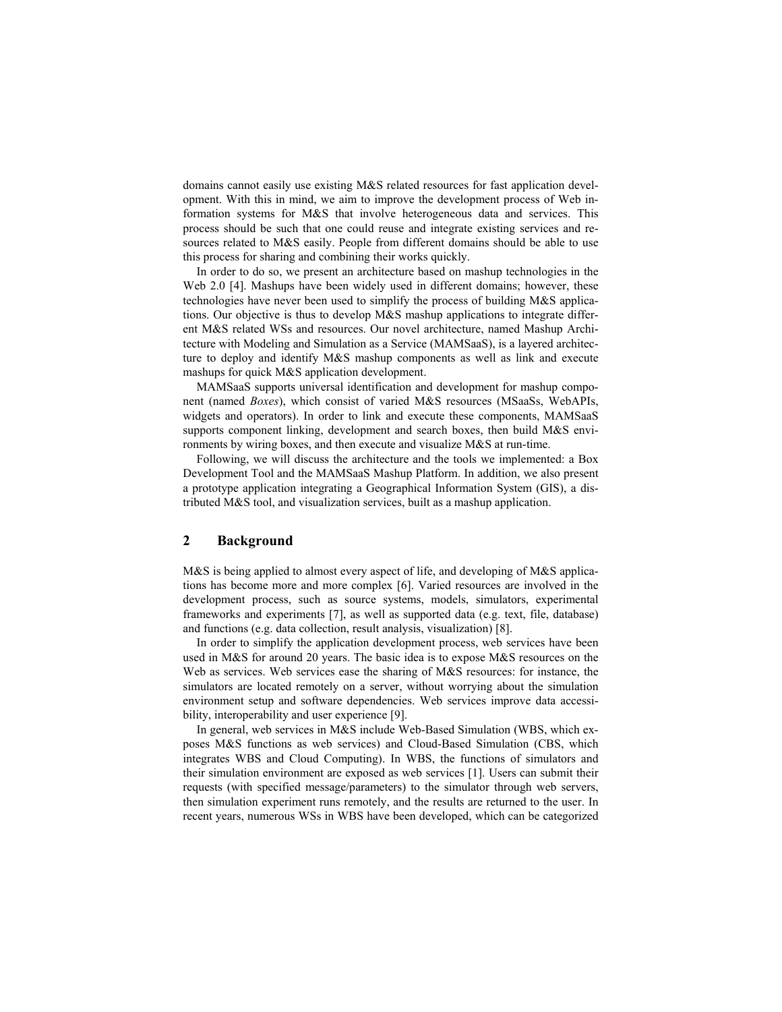domains cannot easily use existing M&S related resources for fast application development. With this in mind, we aim to improve the development process of Web information systems for M&S that involve heterogeneous data and services. This process should be such that one could reuse and integrate existing services and resources related to M&S easily. People from different domains should be able to use this process for sharing and combining their works quickly.

In order to do so, we present an architecture based on mashup technologies in the Web 2.0 [4]. Mashups have been widely used in different domains; however, these technologies have never been used to simplify the process of building M&S applications. Our objective is thus to develop M&S mashup applications to integrate different M&S related WSs and resources. Our novel architecture, named Mashup Architecture with Modeling and Simulation as a Service (MAMSaaS), is a layered architecture to deploy and identify M&S mashup components as well as link and execute mashups for quick M&S application development.

MAMSaaS supports universal identification and development for mashup component (named *Boxes*), which consist of varied M&S resources (MSaaSs, WebAPIs, widgets and operators). In order to link and execute these components, MAMSaaS supports component linking, development and search boxes, then build M&S environments by wiring boxes, and then execute and visualize M&S at run-time.

Following, we will discuss the architecture and the tools we implemented: a Box Development Tool and the MAMSaaS Mashup Platform. In addition, we also present a prototype application integrating a Geographical Information System (GIS), a distributed M&S tool, and visualization services, built as a mashup application.

### 2 Background

M&S is being applied to almost every aspect of life, and developing of M&S applications has become more and more complex [6]. Varied resources are involved in the development process, such as source systems, models, simulators, experimental frameworks and experiments [7], as well as supported data (e.g. text, file, database) and functions (e.g. data collection, result analysis, visualization) [8].

In order to simplify the application development process, web services have been used in M&S for around 20 years. The basic idea is to expose M&S resources on the Web as services. Web services ease the sharing of M&S resources: for instance, the simulators are located remotely on a server, without worrying about the simulation environment setup and software dependencies. Web services improve data accessibility, interoperability and user experience [9].

In general, web services in M&S include Web-Based Simulation (WBS, which exposes M&S functions as web services) and Cloud-Based Simulation (CBS, which integrates WBS and Cloud Computing). In WBS, the functions of simulators and their simulation environment are exposed as web services [1]. Users can submit their requests (with specified message/parameters) to the simulator through web servers, then simulation experiment runs remotely, and the results are returned to the user. In recent years, numerous WSs in WBS have been developed, which can be categorized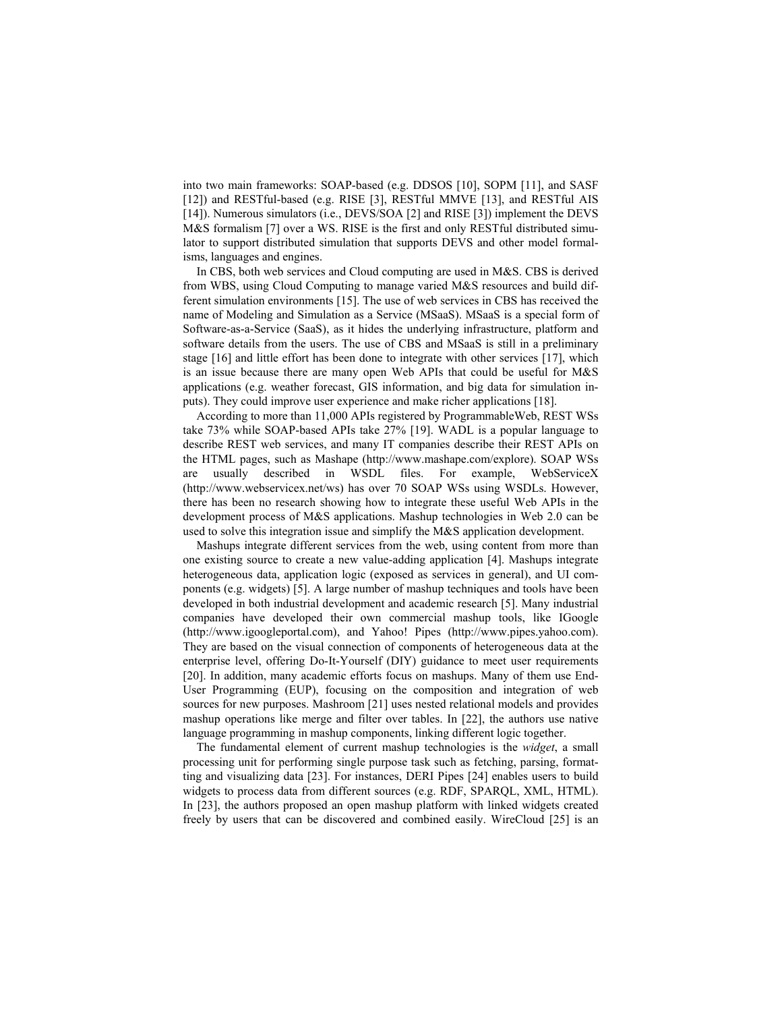into two main frameworks: SOAP-based (e.g. DDSOS [10], SOPM [11], and SASF [12]) and RESTful-based (e.g. RISE [3], RESTful MMVE [13], and RESTful AIS [14]). Numerous simulators (i.e., DEVS/SOA [2] and RISE [3]) implement the DEVS M&S formalism [7] over a WS. RISE is the first and only RESTful distributed simulator to support distributed simulation that supports DEVS and other model formalisms, languages and engines.

In CBS, both web services and Cloud computing are used in M&S. CBS is derived from WBS, using Cloud Computing to manage varied M&S resources and build different simulation environments [15]. The use of web services in CBS has received the name of Modeling and Simulation as a Service (MSaaS). MSaaS is a special form of Software-as-a-Service (SaaS), as it hides the underlying infrastructure, platform and software details from the users. The use of CBS and MSaaS is still in a preliminary stage [16] and little effort has been done to integrate with other services [17], which is an issue because there are many open Web APIs that could be useful for M&S applications (e.g. weather forecast, GIS information, and big data for simulation inputs). They could improve user experience and make richer applications [18].

According to more than 11,000 APIs registered by ProgrammableWeb, REST WSs take 73% while SOAP-based APIs take 27% [19]. WADL is a popular language to describe REST web services, and many IT companies describe their REST APIs on the HTML pages, such as Mashape (http://www.mashape.com/explore). SOAP WSs are usually described in WSDL files. For example, WebServiceX (http://www.webservicex.net/ws) has over 70 SOAP WSs using WSDLs. However, there has been no research showing how to integrate these useful Web APIs in the development process of M&S applications. Mashup technologies in Web 2.0 can be used to solve this integration issue and simplify the M&S application development.

Mashups integrate different services from the web, using content from more than one existing source to create a new value-adding application [4]. Mashups integrate heterogeneous data, application logic (exposed as services in general), and UI components (e.g. widgets) [5]. A large number of mashup techniques and tools have been developed in both industrial development and academic research [5]. Many industrial companies have developed their own commercial mashup tools, like IGoogle (http://www.igoogleportal.com), and Yahoo! Pipes (http://www.pipes.yahoo.com). They are based on the visual connection of components of heterogeneous data at the enterprise level, offering Do-It-Yourself (DIY) guidance to meet user requirements [20]. In addition, many academic efforts focus on mashups. Many of them use End-User Programming (EUP), focusing on the composition and integration of web sources for new purposes. Mashroom [21] uses nested relational models and provides mashup operations like merge and filter over tables. In [22], the authors use native language programming in mashup components, linking different logic together.

The fundamental element of current mashup technologies is the *widget*, a small processing unit for performing single purpose task such as fetching, parsing, formatting and visualizing data [23]. For instances, DERI Pipes [24] enables users to build widgets to process data from different sources (e.g. RDF, SPARQL, XML, HTML). In [23], the authors proposed an open mashup platform with linked widgets created freely by users that can be discovered and combined easily. WireCloud [25] is an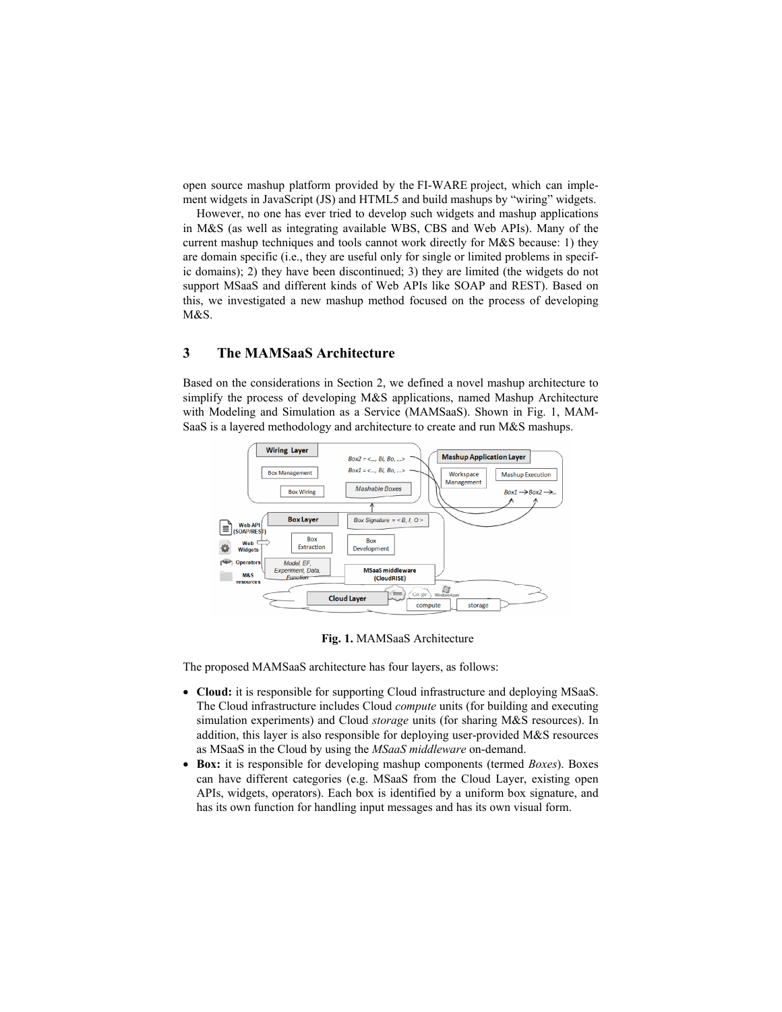open source mashup platform provided by the FI-WARE project, which can implement widgets in JavaScript (JS) and HTML5 and build mashups by "wiring" widgets.

However, no one has ever tried to develop such widgets and mashup applications in M&S (as well as integrating available WBS, CBS and Web APIs). Many of the current mashup techniques and tools cannot work directly for M&S because: 1) they are domain specific (i.e., they are useful only for single or limited problems in specific domains); 2) they have been discontinued; 3) they are limited (the widgets do not support MSaaS and different kinds of Web APIs like SOAP and REST). Based on this, we investigated a new mashup method focused on the process of developing M&S.

# 3 The MAMSaaS Architecture

Based on the considerations in Section 2, we defined a novel mashup architecture to simplify the process of developing M&S applications, named Mashup Architecture with Modeling and Simulation as a Service (MAMSaaS). Shown in Fig. 1, MAM-SaaS is a layered methodology and architecture to create and run M&S mashups.



Fig. 1. MAMSaaS Architecture

The proposed MAMSaaS architecture has four layers, as follows:

- Cloud: it is responsible for supporting Cloud infrastructure and deploying MSaaS. The Cloud infrastructure includes Cloud *compute* units (for building and executing simulation experiments) and Cloud *storage* units (for sharing M&S resources). In addition, this layer is also responsible for deploying user-provided M&S resources as MSaaS in the Cloud by using the *MSaaS middleware* on-demand.
- Box: it is responsible for developing mashup components (termed *Boxes*). Boxes can have different categories (e.g. MSaaS from the Cloud Layer, existing open APIs, widgets, operators). Each box is identified by a uniform box signature, and has its own function for handling input messages and has its own visual form.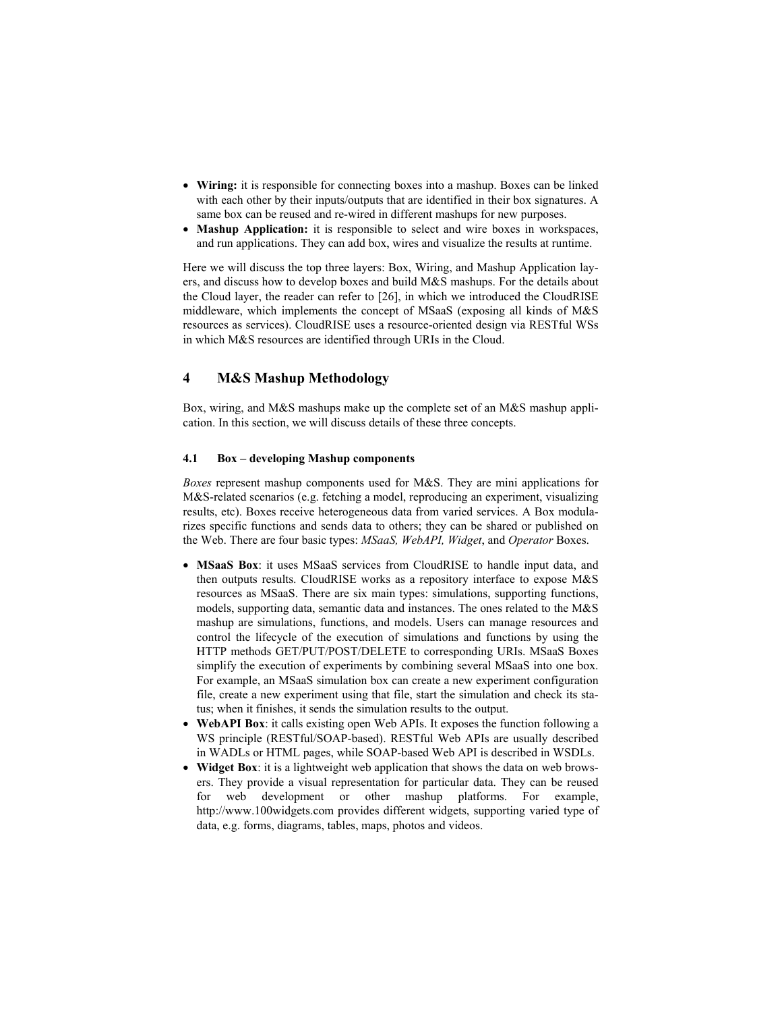- Wiring: it is responsible for connecting boxes into a mashup. Boxes can be linked with each other by their inputs/outputs that are identified in their box signatures. A same box can be reused and re-wired in different mashups for new purposes.
- Mashup Application: it is responsible to select and wire boxes in workspaces, and run applications. They can add box, wires and visualize the results at runtime.

Here we will discuss the top three layers: Box, Wiring, and Mashup Application layers, and discuss how to develop boxes and build M&S mashups. For the details about the Cloud layer, the reader can refer to [26], in which we introduced the CloudRISE middleware, which implements the concept of MSaaS (exposing all kinds of M&S resources as services). CloudRISE uses a resource-oriented design via RESTful WSs in which M&S resources are identified through URIs in the Cloud.

# 4 M&S Mashup Methodology

Box, wiring, and M&S mashups make up the complete set of an M&S mashup application. In this section, we will discuss details of these three concepts.

#### 4.1 Box – developing Mashup components

*Boxes* represent mashup components used for M&S. They are mini applications for M&S-related scenarios (e.g. fetching a model, reproducing an experiment, visualizing results, etc). Boxes receive heterogeneous data from varied services. A Box modularizes specific functions and sends data to others; they can be shared or published on the Web. There are four basic types: *MSaaS, WebAPI, Widget*, and *Operator* Boxes.

- MSaaS Box: it uses MSaaS services from CloudRISE to handle input data, and then outputs results. CloudRISE works as a repository interface to expose M&S resources as MSaaS. There are six main types: simulations, supporting functions, models, supporting data, semantic data and instances. The ones related to the M&S mashup are simulations, functions, and models. Users can manage resources and control the lifecycle of the execution of simulations and functions by using the HTTP methods GET/PUT/POST/DELETE to corresponding URIs. MSaaS Boxes simplify the execution of experiments by combining several MSaaS into one box. For example, an MSaaS simulation box can create a new experiment configuration file, create a new experiment using that file, start the simulation and check its status; when it finishes, it sends the simulation results to the output.
- WebAPI Box: it calls existing open Web APIs. It exposes the function following a WS principle (RESTful/SOAP-based). RESTful Web APIs are usually described in WADLs or HTML pages, while SOAP-based Web API is described in WSDLs.
- Widget Box: it is a lightweight web application that shows the data on web browsers. They provide a visual representation for particular data. They can be reused for web development or other mashup platforms. For example, http://www.100widgets.com provides different widgets, supporting varied type of data, e.g. forms, diagrams, tables, maps, photos and videos.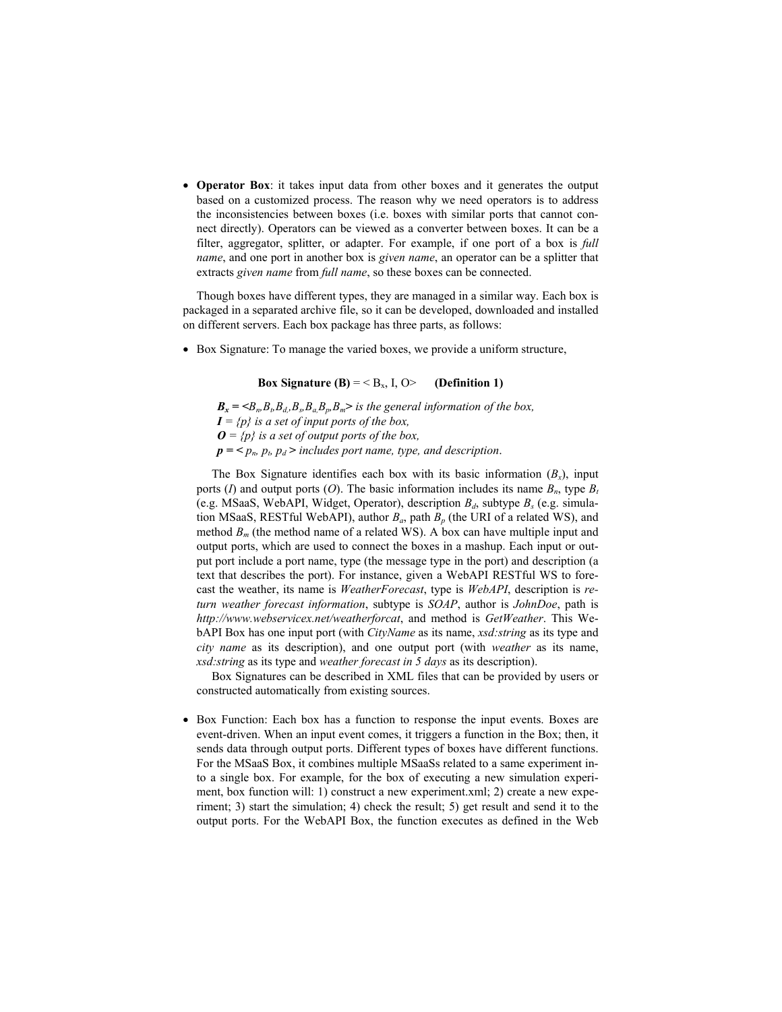• Operator Box: it takes input data from other boxes and it generates the output based on a customized process. The reason why we need operators is to address the inconsistencies between boxes (i.e. boxes with similar ports that cannot connect directly). Operators can be viewed as a converter between boxes. It can be a filter, aggregator, splitter, or adapter. For example, if one port of a box is *full name*, and one port in another box is *given name*, an operator can be a splitter that extracts *given name* from *full name*, so these boxes can be connected.

Though boxes have different types, they are managed in a similar way. Each box is packaged in a separated archive file, so it can be developed, downloaded and installed on different servers. Each box package has three parts, as follows:

Box Signature: To manage the varied boxes, we provide a uniform structure,

#### Box Signature (B) =  $\langle B_x, I, O \rangle$  (Definition 1)

 $B_x = \langle B_n, B_b, B_d, B_s, B_a, B_p, B_m \rangle$  *is the general information of the box,*  $I = {p}$  *is a set of input ports of the box,*  $\mathbf{O} = \{p\}$  *is a set of output ports of the box,*  $p = \langle p_n, p_t, p_d \rangle$  *includes port name, type, and description.* 

The Box Signature identifies each box with its basic information  $(B_x)$ , input ports (*I*) and output ports (*O*). The basic information includes its name  $B_n$ , type  $B_t$ (e.g. MSaaS, WebAPI, Widget, Operator), description  $B_d$ , subtype  $B_s$  (e.g. simulation MSaaS, RESTful WebAPI), author  $B_a$ , path  $B_p$  (the URI of a related WS), and method  $B_m$  (the method name of a related WS). A box can have multiple input and output ports, which are used to connect the boxes in a mashup. Each input or output port include a port name, type (the message type in the port) and description (a text that describes the port). For instance, given a WebAPI RESTful WS to forecast the weather, its name is *WeatherForecast*, type is *WebAPI*, description is *return weather forecast information*, subtype is *SOAP*, author is *JohnDoe*, path is *http://www.webservicex.net/weatherforcat*, and method is *GetWeather*. This WebAPI Box has one input port (with *CityName* as its name, *xsd:string* as its type and *city name* as its description), and one output port (with *weather* as its name, *xsd:string* as its type and *weather forecast in 5 days* as its description).

 Box Signatures can be described in XML files that can be provided by users or constructed automatically from existing sources.

 Box Function: Each box has a function to response the input events. Boxes are event-driven. When an input event comes, it triggers a function in the Box; then, it sends data through output ports. Different types of boxes have different functions. For the MSaaS Box, it combines multiple MSaaSs related to a same experiment into a single box. For example, for the box of executing a new simulation experiment, box function will: 1) construct a new experiment.xml; 2) create a new experiment; 3) start the simulation; 4) check the result; 5) get result and send it to the output ports. For the WebAPI Box, the function executes as defined in the Web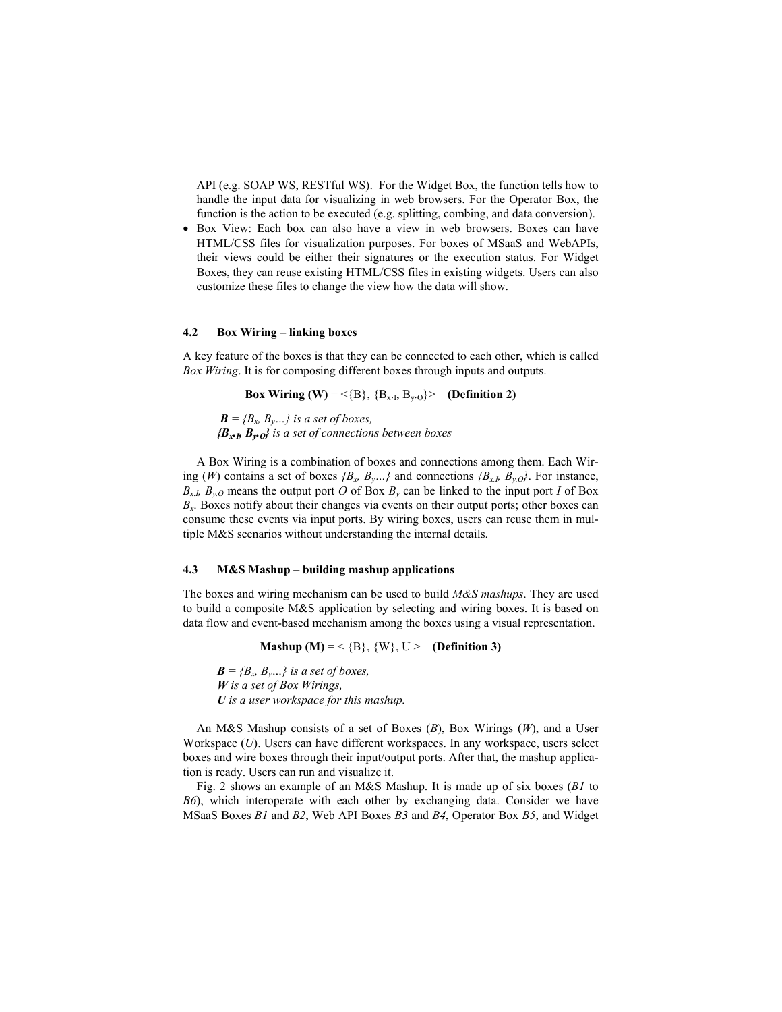API (e.g. SOAP WS, RESTful WS). For the Widget Box, the function tells how to handle the input data for visualizing in web browsers. For the Operator Box, the function is the action to be executed (e.g. splitting, combing, and data conversion).

• Box View: Each box can also have a view in web browsers. Boxes can have HTML/CSS files for visualization purposes. For boxes of MSaaS and WebAPIs, their views could be either their signatures or the execution status. For Widget Boxes, they can reuse existing HTML/CSS files in existing widgets. Users can also customize these files to change the view how the data will show.

#### 4.2 Box Wiring – linking boxes

A key feature of the boxes is that they can be connected to each other, which is called *Box Wiring*. It is for composing different boxes through inputs and outputs.

Box Wiring (W) = <{B}, {B<sub>x-I</sub>, B<sub>y-O</sub>}> (Definition 2)

 $\mathbf{B} = \{B_x, B_y, \ldots\}$  is a set of boxes, *{Bx.I, By.O} is a set of connections between boxes*

A Box Wiring is a combination of boxes and connections among them. Each Wiring (*W*) contains a set of boxes  ${B_x, B_y, \ldots}$  and connections  ${B_{x,b}, B_{y,0}}$ . For instance,  $B_{x,h}$  *B<sub>y.O</sub>* means the output port *O* of Box  $B_y$  can be linked to the input port *I* of Box  $B<sub>x</sub>$ . Boxes notify about their changes via events on their output ports; other boxes can consume these events via input ports. By wiring boxes, users can reuse them in multiple M&S scenarios without understanding the internal details.

#### 4.3 M&S Mashup – building mashup applications

The boxes and wiring mechanism can be used to build *M&S mashups*. They are used to build a composite M&S application by selecting and wiring boxes. It is based on data flow and event-based mechanism among the boxes using a visual representation.

Mashup  $(M) = \langle B \rangle$ ,  $\{W\}$ ,  $U > 0$ efinition 3)

 $\mathbf{B} = \{B_x, B_y, \ldots\}$  is a set of boxes, *W is a set of Box Wirings, U is a user workspace for this mashup.*

An M&S Mashup consists of a set of Boxes (*B*), Box Wirings (*W*), and a User Workspace (*U*). Users can have different workspaces. In any workspace, users select boxes and wire boxes through their input/output ports. After that, the mashup application is ready. Users can run and visualize it.

Fig. 2 shows an example of an M&S Mashup. It is made up of six boxes (*B1* to *B6*), which interoperate with each other by exchanging data. Consider we have MSaaS Boxes *B1* and *B2*, Web API Boxes *B3* and *B4*, Operator Box *B5*, and Widget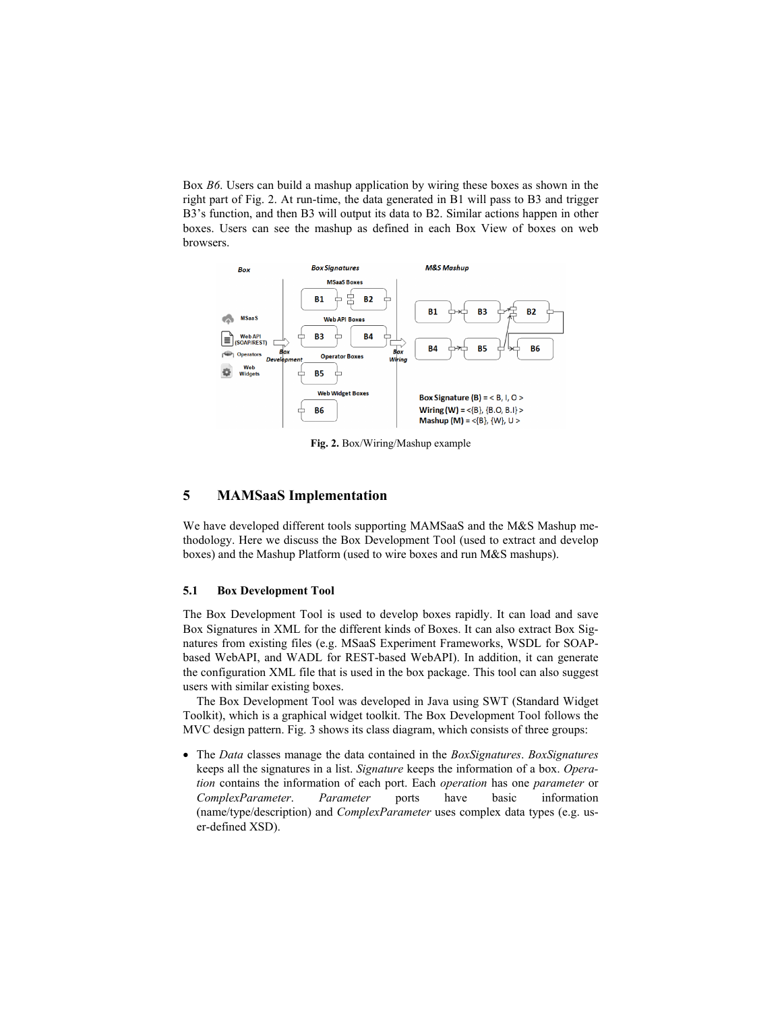Box *B6*. Users can build a mashup application by wiring these boxes as shown in the right part of Fig. 2. At run-time, the data generated in B1 will pass to B3 and trigger B3's function, and then B3 will output its data to B2. Similar actions happen in other boxes. Users can see the mashup as defined in each Box View of boxes on web browsers.



Fig. 2. Box/Wiring/Mashup example

# 5 MAMSaaS Implementation

We have developed different tools supporting MAMSaaS and the M&S Mashup methodology. Here we discuss the Box Development Tool (used to extract and develop boxes) and the Mashup Platform (used to wire boxes and run M&S mashups).

#### 5.1 Box Development Tool

The Box Development Tool is used to develop boxes rapidly. It can load and save Box Signatures in XML for the different kinds of Boxes. It can also extract Box Signatures from existing files (e.g. MSaaS Experiment Frameworks, WSDL for SOAPbased WebAPI, and WADL for REST-based WebAPI). In addition, it can generate the configuration XML file that is used in the box package. This tool can also suggest users with similar existing boxes.

The Box Development Tool was developed in Java using SWT (Standard Widget Toolkit), which is a graphical widget toolkit. The Box Development Tool follows the MVC design pattern. Fig. 3 shows its class diagram, which consists of three groups:

 The *Data* classes manage the data contained in the *BoxSignatures*. *BoxSignatures* keeps all the signatures in a list. *Signature* keeps the information of a box. *Operation* contains the information of each port. Each *operation* has one *parameter* or *ComplexParameter*. *Parameter* ports have basic information (name/type/description) and *ComplexParameter* uses complex data types (e.g. user-defined XSD).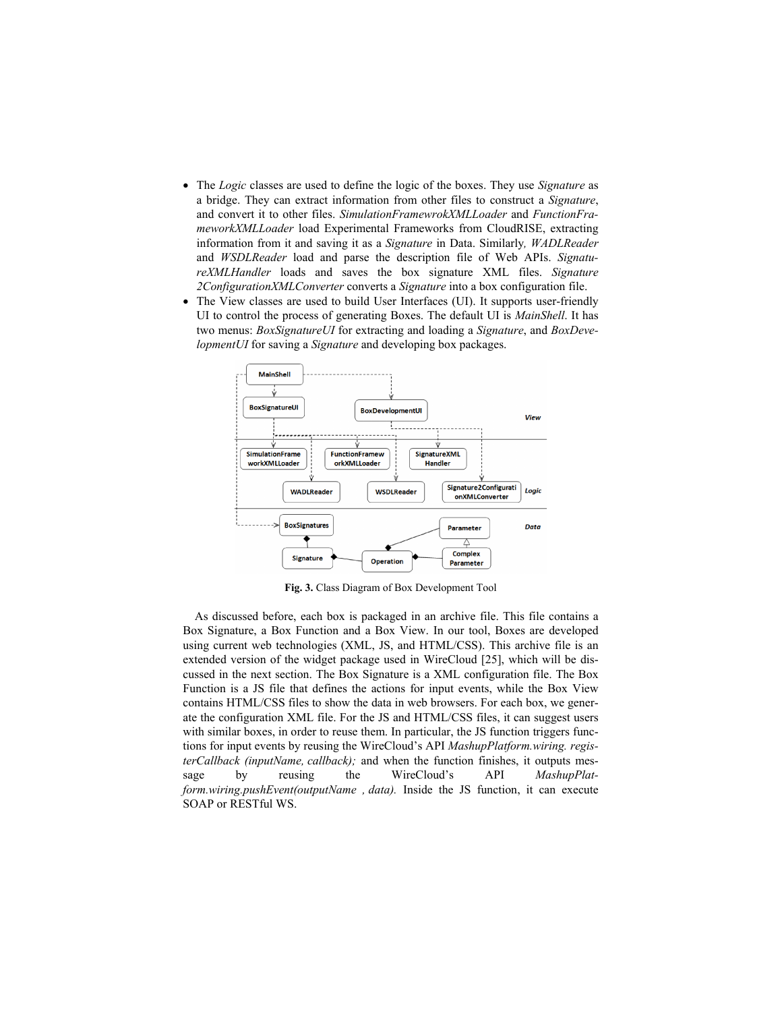- The *Logic* classes are used to define the logic of the boxes. They use *Signature* as a bridge. They can extract information from other files to construct a *Signature*, and convert it to other files. *SimulationFramewrokXMLLoader* and *FunctionFrameworkXMLLoader* load Experimental Frameworks from CloudRISE, extracting information from it and saving it as a *Signature* in Data. Similarly*, WADLReader* and *WSDLReader* load and parse the description file of Web APIs. *SignatureXMLHandler* loads and saves the box signature XML files. *Signature 2ConfigurationXMLConverter* converts a *Signature* into a box configuration file.
- The View classes are used to build User Interfaces (UI). It supports user-friendly UI to control the process of generating Boxes. The default UI is *MainShell*. It has two menus: *BoxSignatureUI* for extracting and loading a *Signature*, and *BoxDevelopmentUI* for saving a *Signature* and developing box packages.



Fig. 3. Class Diagram of Box Development Tool

As discussed before, each box is packaged in an archive file. This file contains a Box Signature, a Box Function and a Box View. In our tool, Boxes are developed using current web technologies (XML, JS, and HTML/CSS). This archive file is an extended version of the widget package used in WireCloud [25], which will be discussed in the next section. The Box Signature is a XML configuration file. The Box Function is a JS file that defines the actions for input events, while the Box View contains HTML/CSS files to show the data in web browsers. For each box, we generate the configuration XML file. For the JS and HTML/CSS files, it can suggest users with similar boxes, in order to reuse them. In particular, the JS function triggers functions for input events by reusing the WireCloud's API *MashupPlatform.wiring. registerCallback (inputName, callback);* and when the function finishes, it outputs message by reusing the WireCloud's API *MashupPlatform.wiring.pushEvent(outputName , data).* Inside the JS function, it can execute SOAP or RESTful WS.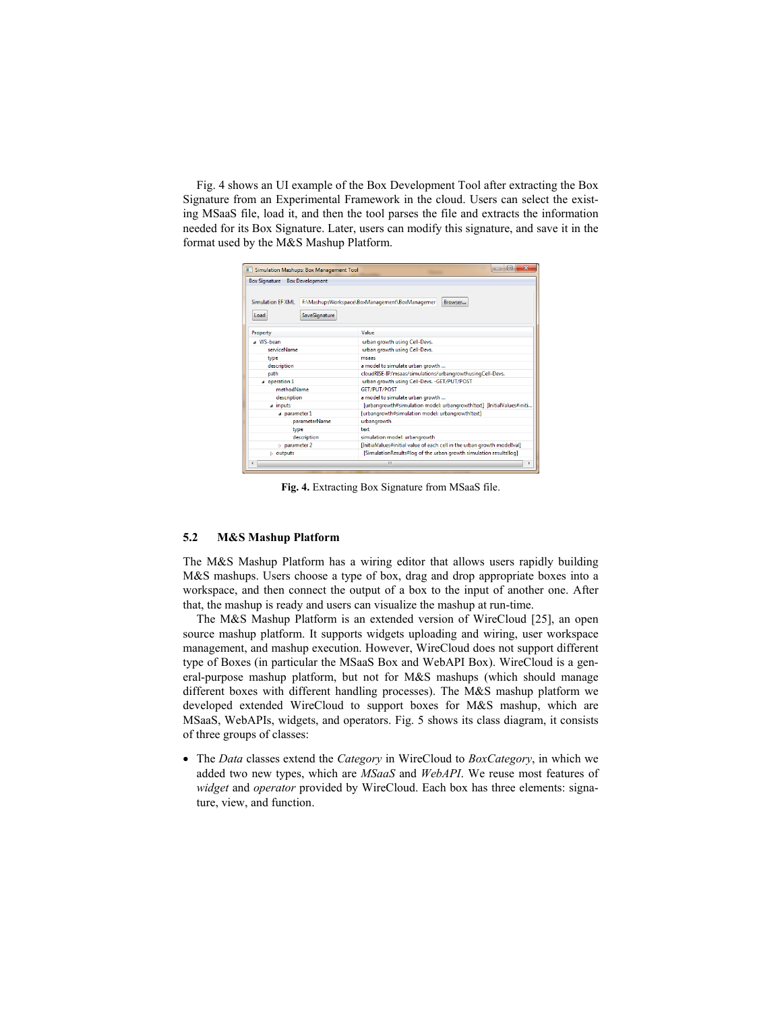Fig. 4 shows an UI example of the Box Development Tool after extracting the Box Signature from an Experimental Framework in the cloud. Users can select the existing MSaaS file, load it, and then the tool parses the file and extracts the information needed for its Box Signature. Later, users can modify this signature, and save it in the format used by the M&S Mashup Platform.

| <b>E.</b> Simulation Mashups: Box Management Tool | $\mathbf x$<br>$\Box$                                                    |  |  |  |  |
|---------------------------------------------------|--------------------------------------------------------------------------|--|--|--|--|
| <b>Box Signature</b><br><b>Box Development</b>    |                                                                          |  |  |  |  |
| <b>Simulation EF XML</b><br>SaveSignature<br>Load | F:\MashupsWorkspace\BoxManagement\BoxManagemer<br>Browser                |  |  |  |  |
| Property                                          | Value                                                                    |  |  |  |  |
| 4 WS-bean                                         | urban growth using Cell-Devs.                                            |  |  |  |  |
| serviceName                                       | urban growth using Cell-Devs.                                            |  |  |  |  |
| type                                              | msaas                                                                    |  |  |  |  |
| description                                       | a model to simulate urban growth                                         |  |  |  |  |
| path                                              | cloudRISE-IP/msaas/simulations/urbangrowthusingCell-Devs.                |  |  |  |  |
| operation 1                                       | urban growth using Cell-Devs. - GET/PUT/POST                             |  |  |  |  |
| methodName                                        | <b>GET/PUT/POST</b>                                                      |  |  |  |  |
| description                                       | a model to simulate urban growth                                         |  |  |  |  |
| a inputs                                          | [urbangrowth#simulation model: urbangrowth!text] [InitialValues#initi    |  |  |  |  |
| a parameter 1                                     | [urbangrowth#simulation model: urbangrowth!text]                         |  |  |  |  |
| parameterName                                     | urbangrowth                                                              |  |  |  |  |
| type                                              | text                                                                     |  |  |  |  |
| description                                       | simulation model: urbangrowth                                            |  |  |  |  |
| $\triangleright$ parameter 2                      | [InitialValues#initial value of each cell in the urban growth model!val] |  |  |  |  |
| $\triangleright$ outputs                          | [SimulationResults#log of the urban growth simulation results!log]       |  |  |  |  |
| ٠                                                 | m.                                                                       |  |  |  |  |

Fig. 4. Extracting Box Signature from MSaaS file.

#### 5.2 M&S Mashup Platform

The M&S Mashup Platform has a wiring editor that allows users rapidly building M&S mashups. Users choose a type of box, drag and drop appropriate boxes into a workspace, and then connect the output of a box to the input of another one. After that, the mashup is ready and users can visualize the mashup at run-time.

The M&S Mashup Platform is an extended version of WireCloud [25], an open source mashup platform. It supports widgets uploading and wiring, user workspace management, and mashup execution. However, WireCloud does not support different type of Boxes (in particular the MSaaS Box and WebAPI Box). WireCloud is a general-purpose mashup platform, but not for M&S mashups (which should manage different boxes with different handling processes). The M&S mashup platform we developed extended WireCloud to support boxes for M&S mashup, which are MSaaS, WebAPIs, widgets, and operators. Fig. 5 shows its class diagram, it consists of three groups of classes:

 The *Data* classes extend the *Category* in WireCloud to *BoxCategory*, in which we added two new types, which are *MSaaS* and *WebAPI*. We reuse most features of *widget* and *operator* provided by WireCloud. Each box has three elements: signature, view, and function.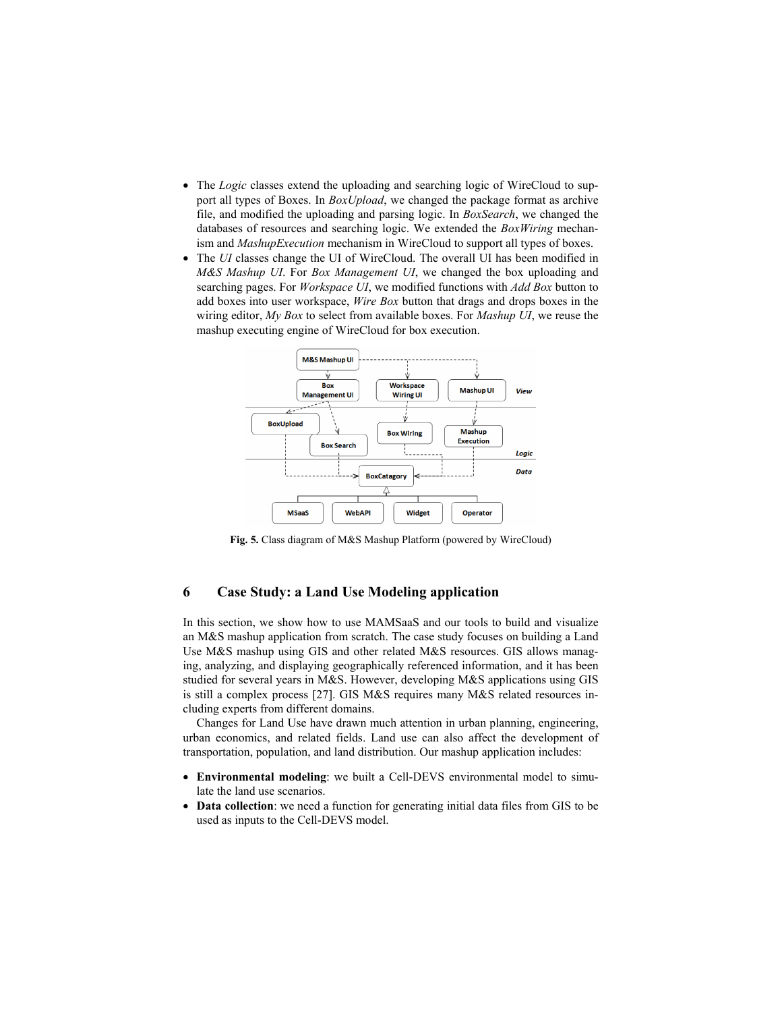- The *Logic* classes extend the uploading and searching logic of WireCloud to support all types of Boxes. In *BoxUpload*, we changed the package format as archive file, and modified the uploading and parsing logic. In *BoxSearch*, we changed the databases of resources and searching logic. We extended the *BoxWiring* mechanism and *MashupExecution* mechanism in WireCloud to support all types of boxes.
- The *UI* classes change the UI of WireCloud. The overall UI has been modified in *M&S Mashup UI*. For *Box Management UI*, we changed the box uploading and searching pages. For *Workspace UI*, we modified functions with *Add Box* button to add boxes into user workspace, *Wire Box* button that drags and drops boxes in the wiring editor, *My Box* to select from available boxes. For *Mashup UI*, we reuse the mashup executing engine of WireCloud for box execution.



Fig. 5. Class diagram of M&S Mashup Platform (powered by WireCloud)

## 6 Case Study: a Land Use Modeling application

In this section, we show how to use MAMSaaS and our tools to build and visualize an M&S mashup application from scratch. The case study focuses on building a Land Use M&S mashup using GIS and other related M&S resources. GIS allows managing, analyzing, and displaying geographically referenced information, and it has been studied for several years in M&S. However, developing M&S applications using GIS is still a complex process [27]. GIS M&S requires many M&S related resources including experts from different domains.

Changes for Land Use have drawn much attention in urban planning, engineering, urban economics, and related fields. Land use can also affect the development of transportation, population, and land distribution. Our mashup application includes:

- Environmental modeling: we built a Cell-DEVS environmental model to simulate the land use scenarios.
- Data collection: we need a function for generating initial data files from GIS to be used as inputs to the Cell-DEVS model.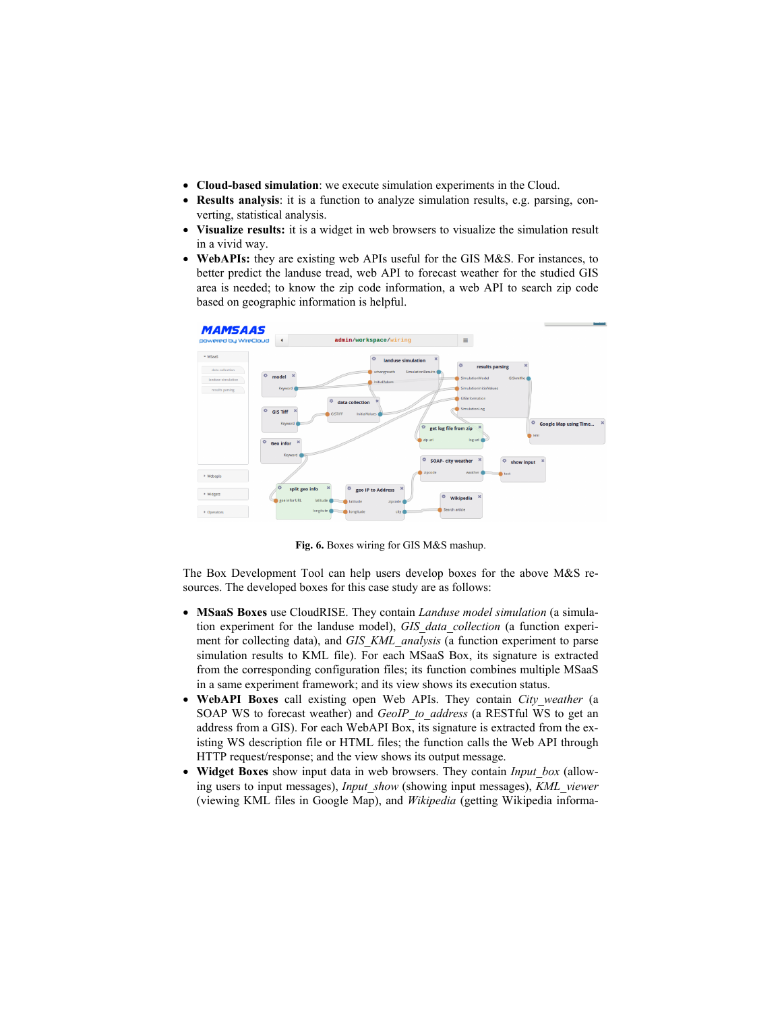- Cloud-based simulation: we execute simulation experiments in the Cloud.
- Results analysis: it is a function to analyze simulation results, e.g. parsing, converting, statistical analysis.
- Visualize results: it is a widget in web browsers to visualize the simulation result in a vivid way.
- WebAPIs: they are existing web APIs useful for the GIS M&S. For instances, to better predict the landuse tread, web API to forecast weather for the studied GIS area is needed; to know the zip code information, a web API to search zip code based on geographic information is helpful.



Fig. 6. Boxes wiring for GIS M&S mashup.

The Box Development Tool can help users develop boxes for the above M&S resources. The developed boxes for this case study are as follows:

- MSaaS Boxes use CloudRISE. They contain *Landuse model simulation* (a simulation experiment for the landuse model), *GIS\_data\_collection* (a function experiment for collecting data), and *GIS\_KML\_analysis* (a function experiment to parse simulation results to KML file). For each MSaaS Box, its signature is extracted from the corresponding configuration files; its function combines multiple MSaaS in a same experiment framework; and its view shows its execution status.
- WebAPI Boxes call existing open Web APIs. They contain *City weather* (a SOAP WS to forecast weather) and *GeoIP\_to\_address* (a RESTful WS to get an address from a GIS). For each WebAPI Box, its signature is extracted from the existing WS description file or HTML files; the function calls the Web API through HTTP request/response; and the view shows its output message.
- Widget Boxes show input data in web browsers. They contain *Input\_box* (allowing users to input messages), *Input\_show* (showing input messages), *KML\_viewer* (viewing KML files in Google Map), and *Wikipedia* (getting Wikipedia informa-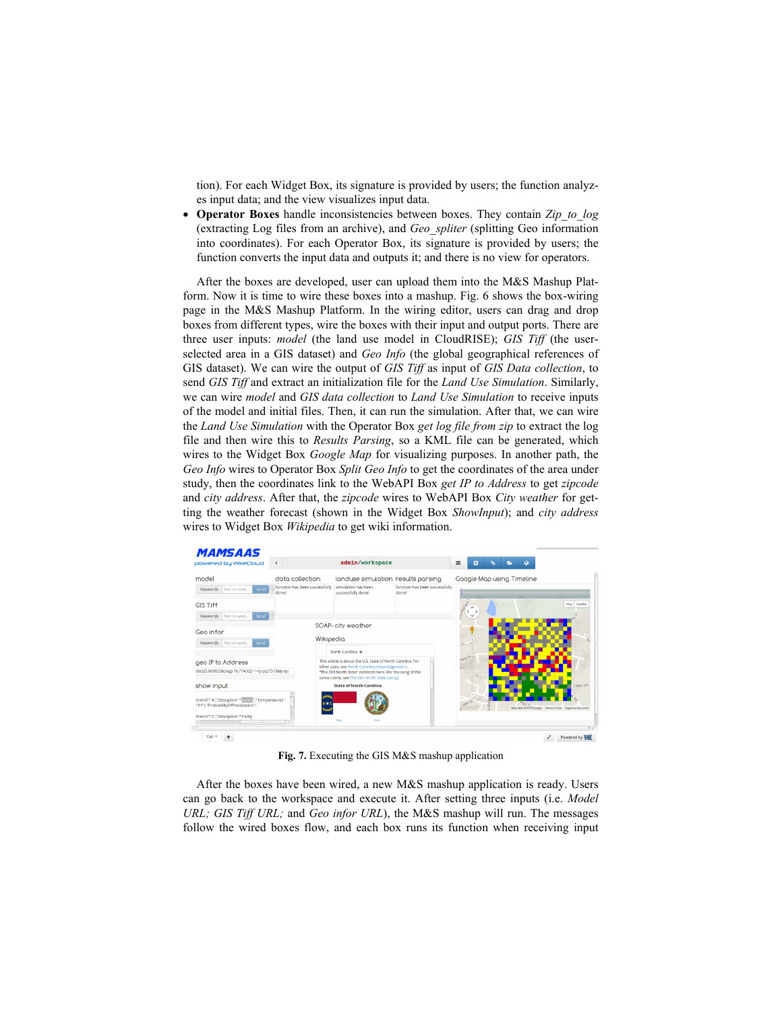tion). For each Widget Box, its signature is provided by users; the function analyzes input data; and the view visualizes input data.

 Operator Boxes handle inconsistencies between boxes. They contain *Zip\_to\_log* (extracting Log files from an archive), and *Geo\_spliter* (splitting Geo information into coordinates). For each Operator Box, its signature is provided by users; the function converts the input data and outputs it; and there is no view for operators.

After the boxes are developed, user can upload them into the M&S Mashup Platform. Now it is time to wire these boxes into a mashup. Fig. 6 shows the box-wiring page in the M&S Mashup Platform. In the wiring editor, users can drag and drop boxes from different types, wire the boxes with their input and output ports. There are three user inputs: *model* (the land use model in CloudRISE); *GIS Tiff* (the userselected area in a GIS dataset) and *Geo Info* (the global geographical references of GIS dataset). We can wire the output of *GIS Tiff* as input of *GIS Data collection*, to send *GIS Tiff* and extract an initialization file for the *Land Use Simulation*. Similarly, we can wire *model* and *GIS data collection* to *Land Use Simulation* to receive inputs of the model and initial files. Then, it can run the simulation. After that, we can wire the *Land Use Simulation* with the Operator Box *get log file from zip* to extract the log file and then wire this to *Results Parsing*, so a KML file can be generated, which wires to the Widget Box *Google Map* for visualizing purposes. In another path, the *Geo Info* wires to Operator Box *Split Geo Info* to get the coordinates of the area under study, then the coordinates link to the WebAPI Box *get IP to Address* to get *zipcode* and *city address*. After that, the *zipcode* wires to WebAPI Box *City weather* for getting the weather forecast (shown in the Widget Box *ShowInput*); and *city address* wires to Widget Box *Wikipedia* to get wiki information.

| powered by WireCloud                                                                     |                                             | admin/workspace                                                                                                                                             |                                         | $\equiv$<br>Ŧ             |  |     |                                                         |
|------------------------------------------------------------------------------------------|---------------------------------------------|-------------------------------------------------------------------------------------------------------------------------------------------------------------|-----------------------------------------|---------------------------|--|-----|---------------------------------------------------------|
| model                                                                                    | data collection                             | landuse simulation results parsing                                                                                                                          |                                         | Google Map using Timeline |  |     |                                                         |
| Send<br>Keywords Text to send                                                            | [1] function has been successfully<br>donet | simulation has been<br>successfully done!                                                                                                                   | function has been successfully<br>donet |                           |  |     |                                                         |
| <b>GIS Tiff</b>                                                                          |                                             |                                                                                                                                                             |                                         | $\rightarrow$             |  |     | Map Satellite                                           |
| Send <b>B</b><br>Text to send<br>Keywords                                                |                                             |                                                                                                                                                             |                                         | $\checkmark$              |  |     |                                                         |
| Geo infor                                                                                |                                             | SOAP- city weather                                                                                                                                          |                                         |                           |  |     |                                                         |
| Keywords   Text to send<br>Send                                                          | Wikipedia                                   | North Carolina x                                                                                                                                            |                                         | $\omega$                  |  |     |                                                         |
| geo IP to Address                                                                        |                                             | This article is about the U.S. state of North Carolina. For                                                                                                 |                                         | usery Of                  |  |     |                                                         |
| (lat)35.8098558(log)-78.774502 == > (zip)275138(city)                                    |                                             | other uses, see North Carolina (disambiguation).<br>"The Old North State" redirects here. For the song of the<br>same name, see The Old North State (song), |                                         |                           |  |     |                                                         |
| show input                                                                               |                                             | <b>State of North Carolina</b>                                                                                                                              |                                         |                           |  |     | Fallen Elm                                              |
| therID":"4","Desciption":"Sunny","Temperatures":<br>/"81"}, "ProbabilityOfPrecipiation": |                                             |                                                                                                                                                             |                                         | <b>SHADE</b>              |  | 20n | Map data 02015 Google Terms of Use   Report a map error |
| theriD":"2","Desciption":"Partly                                                         |                                             | Rag<br>Seal                                                                                                                                                 |                                         |                           |  |     |                                                         |
| Tab $-$                                                                                  |                                             |                                                                                                                                                             |                                         |                           |  |     | Powered by                                              |

<u>. . . . . . . . . .</u>

Fig. 7. Executing the GIS M&S mashup application

After the boxes have been wired, a new M&S mashup application is ready. Users can go back to the workspace and execute it. After setting three inputs (i.e. *Model URL; GIS Tiff URL;* and *Geo infor URL*), the M&S mashup will run. The messages follow the wired boxes flow, and each box runs its function when receiving input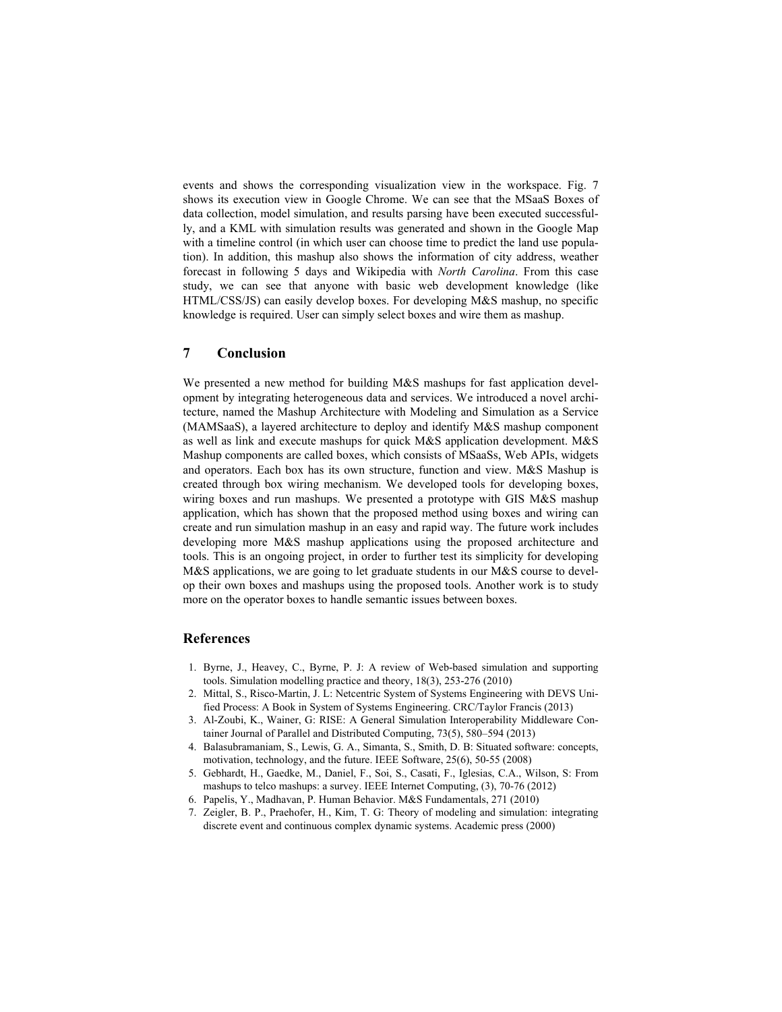events and shows the corresponding visualization view in the workspace. Fig. 7 shows its execution view in Google Chrome. We can see that the MSaaS Boxes of data collection, model simulation, and results parsing have been executed successfully, and a KML with simulation results was generated and shown in the Google Map with a timeline control (in which user can choose time to predict the land use population). In addition, this mashup also shows the information of city address, weather forecast in following 5 days and Wikipedia with *North Carolina*. From this case study, we can see that anyone with basic web development knowledge (like HTML/CSS/JS) can easily develop boxes. For developing M&S mashup, no specific knowledge is required. User can simply select boxes and wire them as mashup.

# 7 Conclusion

We presented a new method for building M&S mashups for fast application development by integrating heterogeneous data and services. We introduced a novel architecture, named the Mashup Architecture with Modeling and Simulation as a Service (MAMSaaS), a layered architecture to deploy and identify M&S mashup component as well as link and execute mashups for quick M&S application development. M&S Mashup components are called boxes, which consists of MSaaSs, Web APIs, widgets and operators. Each box has its own structure, function and view. M&S Mashup is created through box wiring mechanism. We developed tools for developing boxes, wiring boxes and run mashups. We presented a prototype with GIS M&S mashup application, which has shown that the proposed method using boxes and wiring can create and run simulation mashup in an easy and rapid way. The future work includes developing more M&S mashup applications using the proposed architecture and tools. This is an ongoing project, in order to further test its simplicity for developing M&S applications, we are going to let graduate students in our M&S course to develop their own boxes and mashups using the proposed tools. Another work is to study more on the operator boxes to handle semantic issues between boxes.

### References

- 1. Byrne, J., Heavey, C., Byrne, P. J: A review of Web-based simulation and supporting tools. Simulation modelling practice and theory, 18(3), 253-276 (2010)
- 2. Mittal, S., Risco-Martin, J. L: Netcentric System of Systems Engineering with DEVS Unified Process: A Book in System of Systems Engineering. CRC/Taylor Francis (2013)
- 3. Al-Zoubi, K., Wainer, G: RISE: A General Simulation Interoperability Middleware Container Journal of Parallel and Distributed Computing, 73(5), 580–594 (2013)
- 4. Balasubramaniam, S., Lewis, G. A., Simanta, S., Smith, D. B: Situated software: concepts, motivation, technology, and the future. IEEE Software, 25(6), 50-55 (2008)
- 5. Gebhardt, H., Gaedke, M., Daniel, F., Soi, S., Casati, F., Iglesias, C.A., Wilson, S: From mashups to telco mashups: a survey. IEEE Internet Computing, (3), 70-76 (2012)
- 6. Papelis, Y., Madhavan, P. Human Behavior. M&S Fundamentals, 271 (2010)
- 7. Zeigler, B. P., Praehofer, H., Kim, T. G: Theory of modeling and simulation: integrating discrete event and continuous complex dynamic systems. Academic press (2000)